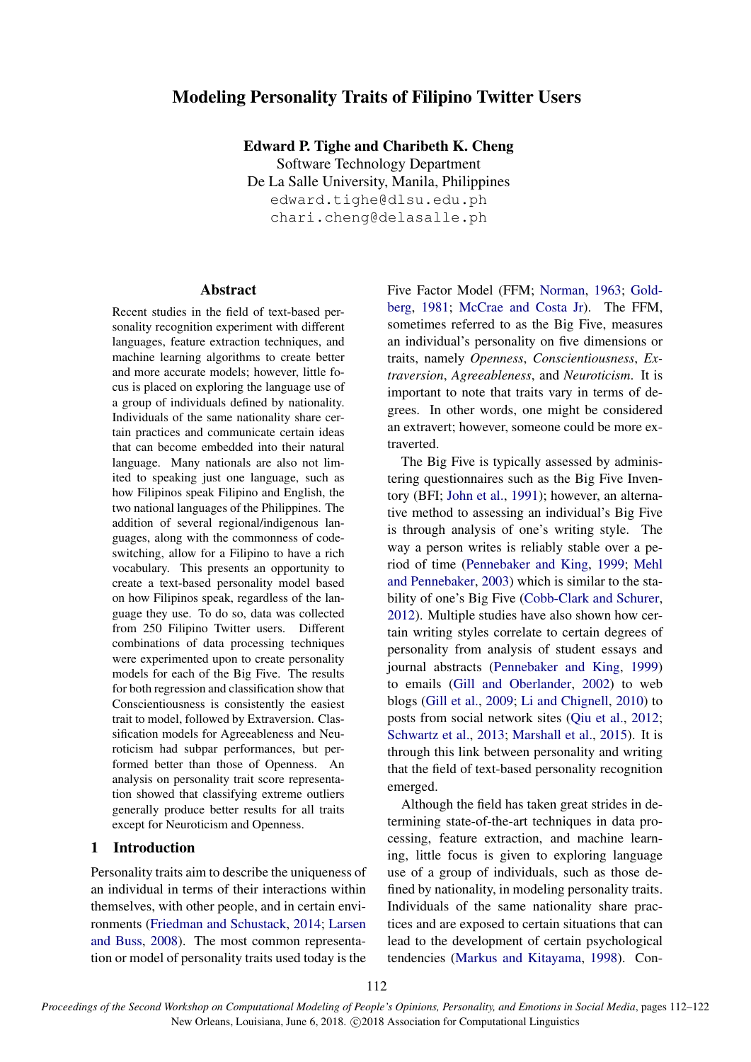# Modeling Personality Traits of Filipino Twitter Users

Edward P. Tighe and Charibeth K. Cheng

Software Technology Department De La Salle University, Manila, Philippines edward.tighe@dlsu.edu.ph chari.cheng@delasalle.ph

## Abstract

Recent studies in the field of text-based personality recognition experiment with different languages, feature extraction techniques, and machine learning algorithms to create better and more accurate models; however, little focus is placed on exploring the language use of a group of individuals defined by nationality. Individuals of the same nationality share certain practices and communicate certain ideas that can become embedded into their natural language. Many nationals are also not limited to speaking just one language, such as how Filipinos speak Filipino and English, the two national languages of the Philippines. The addition of several regional/indigenous languages, along with the commonness of codeswitching, allow for a Filipino to have a rich vocabulary. This presents an opportunity to create a text-based personality model based on how Filipinos speak, regardless of the language they use. To do so, data was collected from 250 Filipino Twitter users. Different combinations of data processing techniques were experimented upon to create personality models for each of the Big Five. The results for both regression and classification show that Conscientiousness is consistently the easiest trait to model, followed by Extraversion. Classification models for Agreeableness and Neuroticism had subpar performances, but performed better than those of Openness. An analysis on personality trait score representation showed that classifying extreme outliers generally produce better results for all traits except for Neuroticism and Openness.

## 1 Introduction

Personality traits aim to describe the uniqueness of an individual in terms of their interactions within themselves, with other people, and in certain environments (Friedman and Schustack, 2014; Larsen and Buss, 2008). The most common representation or model of personality traits used today is the Five Factor Model (FFM; Norman, 1963; Goldberg, 1981; McCrae and Costa Jr). The FFM, sometimes referred to as the Big Five, measures an individual's personality on five dimensions or traits, namely *Openness*, *Conscientiousness*, *Extraversion*, *Agreeableness*, and *Neuroticism*. It is important to note that traits vary in terms of degrees. In other words, one might be considered an extravert; however, someone could be more extraverted.

The Big Five is typically assessed by administering questionnaires such as the Big Five Inventory (BFI; John et al., 1991); however, an alternative method to assessing an individual's Big Five is through analysis of one's writing style. The way a person writes is reliably stable over a period of time (Pennebaker and King, 1999; Mehl and Pennebaker, 2003) which is similar to the stability of one's Big Five (Cobb-Clark and Schurer, 2012). Multiple studies have also shown how certain writing styles correlate to certain degrees of personality from analysis of student essays and journal abstracts (Pennebaker and King, 1999) to emails (Gill and Oberlander, 2002) to web blogs (Gill et al., 2009; Li and Chignell, 2010) to posts from social network sites (Qiu et al., 2012; Schwartz et al., 2013; Marshall et al., 2015). It is through this link between personality and writing that the field of text-based personality recognition emerged.

Although the field has taken great strides in determining state-of-the-art techniques in data processing, feature extraction, and machine learning, little focus is given to exploring language use of a group of individuals, such as those defined by nationality, in modeling personality traits. Individuals of the same nationality share practices and are exposed to certain situations that can lead to the development of certain psychological tendencies (Markus and Kitayama, 1998). Con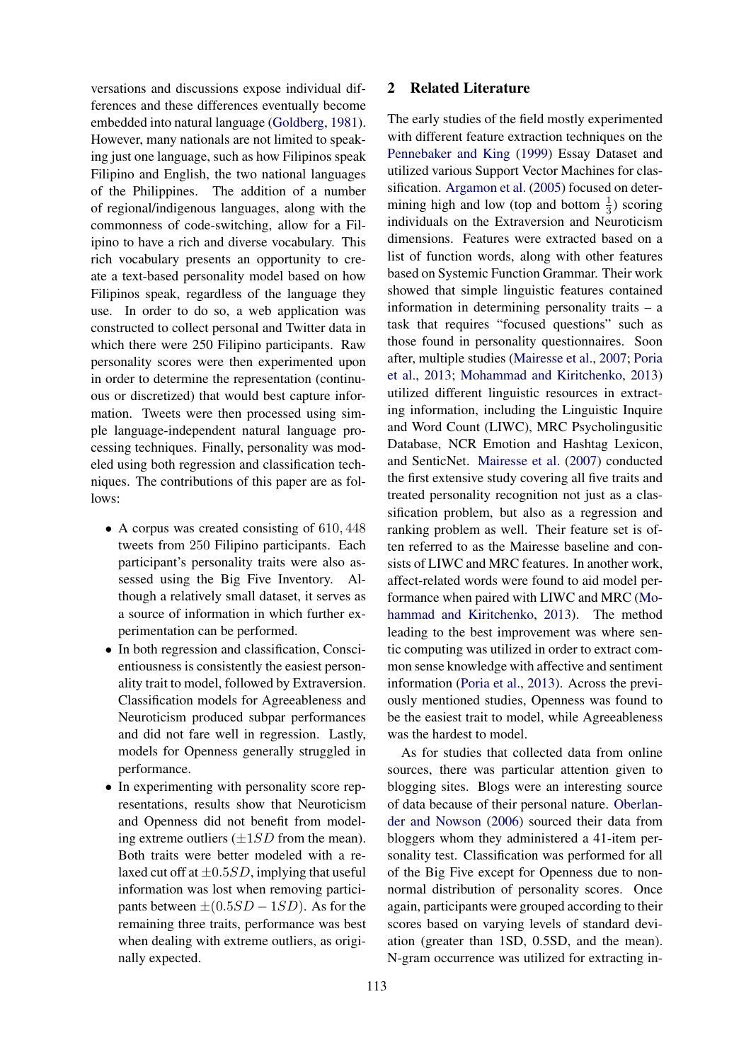versations and discussions expose individual differences and these differences eventually become embedded into natural language (Goldberg, 1981). However, many nationals are not limited to speaking just one language, such as how Filipinos speak Filipino and English, the two national languages of the Philippines. The addition of a number of regional/indigenous languages, along with the commonness of code-switching, allow for a Filipino to have a rich and diverse vocabulary. This rich vocabulary presents an opportunity to create a text-based personality model based on how Filipinos speak, regardless of the language they use. In order to do so, a web application was constructed to collect personal and Twitter data in which there were 250 Filipino participants. Raw personality scores were then experimented upon in order to determine the representation (continuous or discretized) that would best capture information. Tweets were then processed using simple language-independent natural language processing techniques. Finally, personality was modeled using both regression and classification techniques. The contributions of this paper are as follows:

- A corpus was created consisting of 610, 448 tweets from 250 Filipino participants. Each participant's personality traits were also assessed using the Big Five Inventory. Although a relatively small dataset, it serves as a source of information in which further experimentation can be performed.
- In both regression and classification, Conscientiousness is consistently the easiest personality trait to model, followed by Extraversion. Classification models for Agreeableness and Neuroticism produced subpar performances and did not fare well in regression. Lastly, models for Openness generally struggled in performance.
- In experimenting with personality score representations, results show that Neuroticism and Openness did not benefit from modeling extreme outliers  $(\pm 1SD$  from the mean). Both traits were better modeled with a relaxed cut off at  $\pm 0.5SD$ , implying that useful information was lost when removing participants between  $\pm (0.5SD - 1SD)$ . As for the remaining three traits, performance was best when dealing with extreme outliers, as originally expected.

### 2 Related Literature

The early studies of the field mostly experimented with different feature extraction techniques on the Pennebaker and King (1999) Essay Dataset and utilized various Support Vector Machines for classification. Argamon et al. (2005) focused on determining high and low (top and bottom  $\frac{1}{3}$ ) scoring individuals on the Extraversion and Neuroticism dimensions. Features were extracted based on a list of function words, along with other features based on Systemic Function Grammar. Their work showed that simple linguistic features contained information in determining personality traits – a task that requires "focused questions" such as those found in personality questionnaires. Soon after, multiple studies (Mairesse et al., 2007; Poria et al., 2013; Mohammad and Kiritchenko, 2013) utilized different linguistic resources in extracting information, including the Linguistic Inquire and Word Count (LIWC), MRC Psycholingusitic Database, NCR Emotion and Hashtag Lexicon, and SenticNet. Mairesse et al. (2007) conducted the first extensive study covering all five traits and treated personality recognition not just as a classification problem, but also as a regression and ranking problem as well. Their feature set is often referred to as the Mairesse baseline and consists of LIWC and MRC features. In another work, affect-related words were found to aid model performance when paired with LIWC and MRC (Mohammad and Kiritchenko, 2013). The method leading to the best improvement was where sentic computing was utilized in order to extract common sense knowledge with affective and sentiment information (Poria et al., 2013). Across the previously mentioned studies, Openness was found to be the easiest trait to model, while Agreeableness was the hardest to model.

As for studies that collected data from online sources, there was particular attention given to blogging sites. Blogs were an interesting source of data because of their personal nature. Oberlander and Nowson (2006) sourced their data from bloggers whom they administered a 41-item personality test. Classification was performed for all of the Big Five except for Openness due to nonnormal distribution of personality scores. Once again, participants were grouped according to their scores based on varying levels of standard deviation (greater than 1SD, 0.5SD, and the mean). N-gram occurrence was utilized for extracting in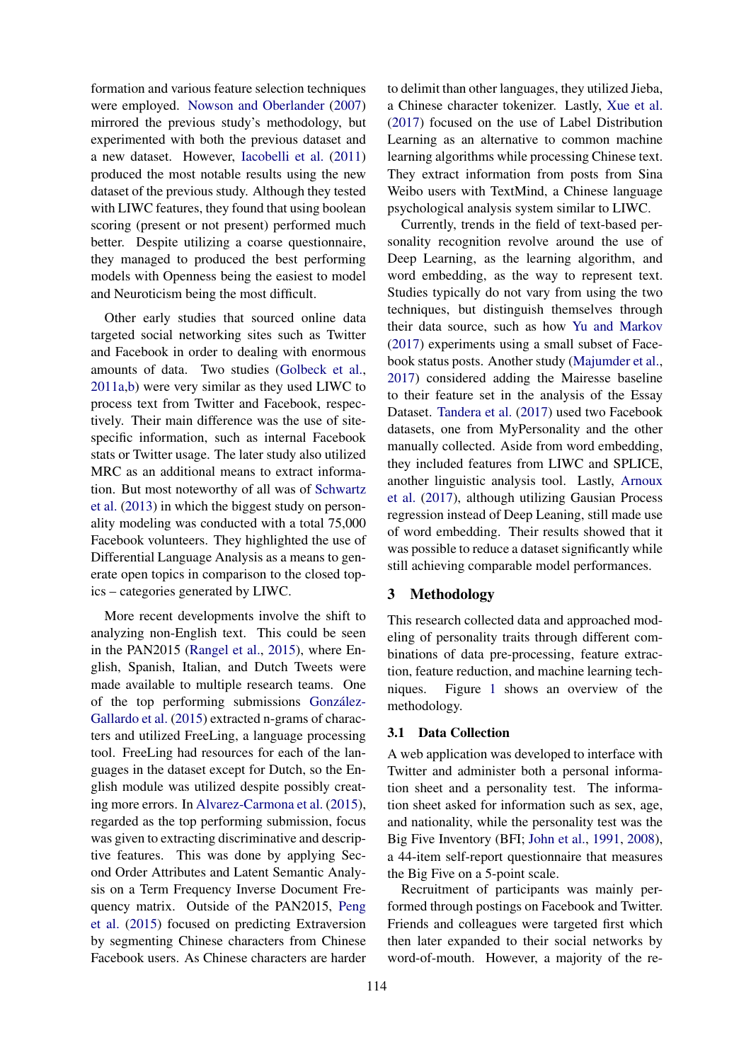formation and various feature selection techniques were employed. Nowson and Oberlander (2007) mirrored the previous study's methodology, but experimented with both the previous dataset and a new dataset. However, Iacobelli et al. (2011) produced the most notable results using the new dataset of the previous study. Although they tested with LIWC features, they found that using boolean scoring (present or not present) performed much better. Despite utilizing a coarse questionnaire, they managed to produced the best performing models with Openness being the easiest to model and Neuroticism being the most difficult.

Other early studies that sourced online data targeted social networking sites such as Twitter and Facebook in order to dealing with enormous amounts of data. Two studies (Golbeck et al., 2011a,b) were very similar as they used LIWC to process text from Twitter and Facebook, respectively. Their main difference was the use of sitespecific information, such as internal Facebook stats or Twitter usage. The later study also utilized MRC as an additional means to extract information. But most noteworthy of all was of Schwartz et al. (2013) in which the biggest study on personality modeling was conducted with a total 75,000 Facebook volunteers. They highlighted the use of Differential Language Analysis as a means to generate open topics in comparison to the closed topics – categories generated by LIWC.

More recent developments involve the shift to analyzing non-English text. This could be seen in the PAN2015 (Rangel et al., 2015), where English, Spanish, Italian, and Dutch Tweets were made available to multiple research teams. One of the top performing submissions Gonzalez- ´ Gallardo et al. (2015) extracted n-grams of characters and utilized FreeLing, a language processing tool. FreeLing had resources for each of the languages in the dataset except for Dutch, so the English module was utilized despite possibly creating more errors. In Alvarez-Carmona et al. (2015), regarded as the top performing submission, focus was given to extracting discriminative and descriptive features. This was done by applying Second Order Attributes and Latent Semantic Analysis on a Term Frequency Inverse Document Frequency matrix. Outside of the PAN2015, Peng et al. (2015) focused on predicting Extraversion by segmenting Chinese characters from Chinese Facebook users. As Chinese characters are harder to delimit than other languages, they utilized Jieba, a Chinese character tokenizer. Lastly, Xue et al. (2017) focused on the use of Label Distribution Learning as an alternative to common machine learning algorithms while processing Chinese text. They extract information from posts from Sina Weibo users with TextMind, a Chinese language psychological analysis system similar to LIWC.

Currently, trends in the field of text-based personality recognition revolve around the use of Deep Learning, as the learning algorithm, and word embedding, as the way to represent text. Studies typically do not vary from using the two techniques, but distinguish themselves through their data source, such as how Yu and Markov (2017) experiments using a small subset of Facebook status posts. Another study (Majumder et al., 2017) considered adding the Mairesse baseline to their feature set in the analysis of the Essay Dataset. Tandera et al. (2017) used two Facebook datasets, one from MyPersonality and the other manually collected. Aside from word embedding, they included features from LIWC and SPLICE, another linguistic analysis tool. Lastly, Arnoux et al. (2017), although utilizing Gausian Process regression instead of Deep Leaning, still made use of word embedding. Their results showed that it was possible to reduce a dataset significantly while still achieving comparable model performances.

## 3 Methodology

This research collected data and approached modeling of personality traits through different combinations of data pre-processing, feature extraction, feature reduction, and machine learning techniques. Figure 1 shows an overview of the methodology.

## 3.1 Data Collection

A web application was developed to interface with Twitter and administer both a personal information sheet and a personality test. The information sheet asked for information such as sex, age, and nationality, while the personality test was the Big Five Inventory (BFI; John et al., 1991, 2008), a 44-item self-report questionnaire that measures the Big Five on a 5-point scale.

Recruitment of participants was mainly performed through postings on Facebook and Twitter. Friends and colleagues were targeted first which then later expanded to their social networks by word-of-mouth. However, a majority of the re-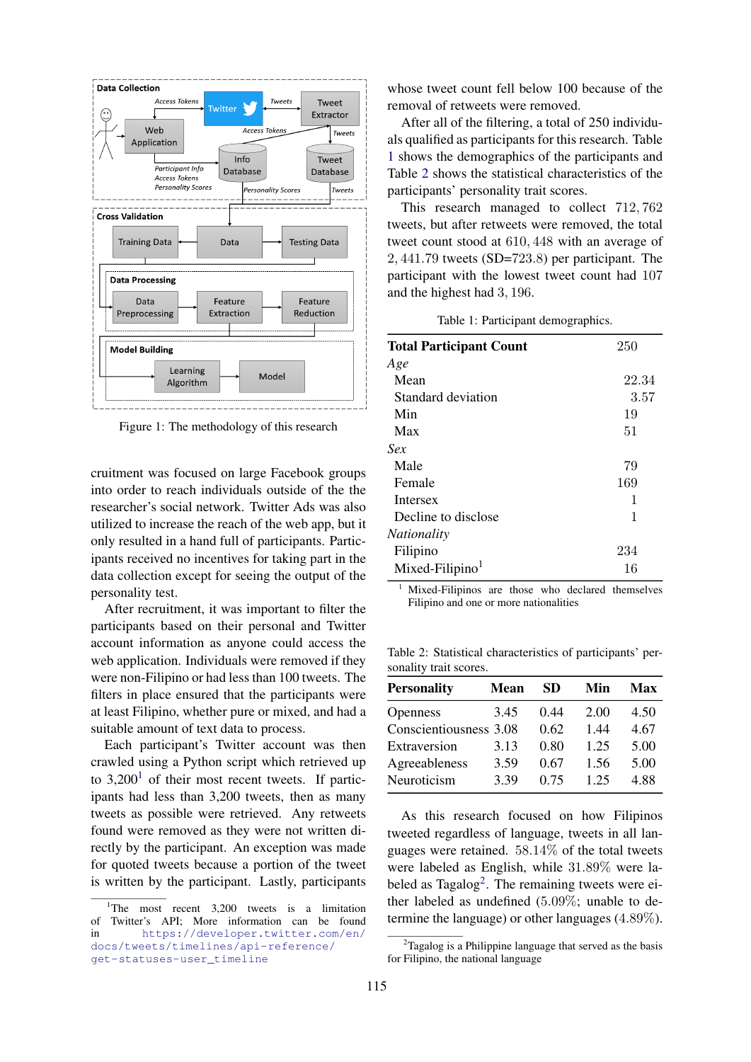

Figure 1: The methodology of this research

cruitment was focused on large Facebook groups into order to reach individuals outside of the the researcher's social network. Twitter Ads was also utilized to increase the reach of the web app, but it only resulted in a hand full of participants. Participants received no incentives for taking part in the data collection except for seeing the output of the personality test.

After recruitment, it was important to filter the participants based on their personal and Twitter account information as anyone could access the web application. Individuals were removed if they were non-Filipino or had less than 100 tweets. The filters in place ensured that the participants were at least Filipino, whether pure or mixed, and had a suitable amount of text data to process.

Each participant's Twitter account was then crawled using a Python script which retrieved up to  $3,200<sup>1</sup>$  of their most recent tweets. If participants had less than 3,200 tweets, then as many tweets as possible were retrieved. Any retweets found were removed as they were not written directly by the participant. An exception was made for quoted tweets because a portion of the tweet is written by the participant. Lastly, participants

whose tweet count fell below 100 because of the removal of retweets were removed.

After all of the filtering, a total of 250 individuals qualified as participants for this research. Table 1 shows the demographics of the participants and Table 2 shows the statistical characteristics of the participants' personality trait scores.

This research managed to collect 712, 762 tweets, but after retweets were removed, the total tweet count stood at 610, 448 with an average of 2, 441.79 tweets (SD=723.8) per participant. The participant with the lowest tweet count had 107 and the highest had 3, 196.

Table 1: Participant demographics.

| <b>Total Participant Count</b> | 250   |
|--------------------------------|-------|
| Age                            |       |
| Mean                           | 22.34 |
| Standard deviation             | 3.57  |
| Min                            | 19    |
| Max                            | 51    |
| Sex                            |       |
| Male                           | 79    |
| Female                         | 169   |
| Intersex                       | 1     |
| Decline to disclose            | 1     |
| <i>Nationality</i>             |       |
| Filipino                       | 234   |
| $Mixed-Filipino1$              | 16    |

<sup>1</sup> Mixed-Filipinos are those who declared themselves Filipino and one or more nationalities

Table 2: Statistical characteristics of participants' personality trait scores.

| <b>Mean</b>            | SD.  | Min  | Max  |
|------------------------|------|------|------|
| 3.45                   | 0.44 | 2.00 | 4.50 |
| Conscientiousness 3.08 | 0.62 | 1.44 | 4.67 |
| 3.13                   | 0.80 | 1.25 | 5.00 |
| 3.59                   | 0.67 | 1.56 | 5.00 |
| 3.39                   | 0.75 | 1 25 | 4.88 |
|                        |      |      |      |

As this research focused on how Filipinos tweeted regardless of language, tweets in all languages were retained. 58.14% of the total tweets were labeled as English, while 31.89% were labeled as Tagalog<sup>2</sup>. The remaining tweets were either labeled as undefined (5.09%; unable to determine the language) or other languages (4.89%).

<sup>&</sup>lt;sup>1</sup>The most recent  $3,200$  tweets is a limitation of Twitter's API; More information can be found in https://developer.twitter.com/en/ docs/tweets/timelines/api-reference/ get-statuses-user\_timeline

 $2^2$ Tagalog is a Philippine language that served as the basis for Filipino, the national language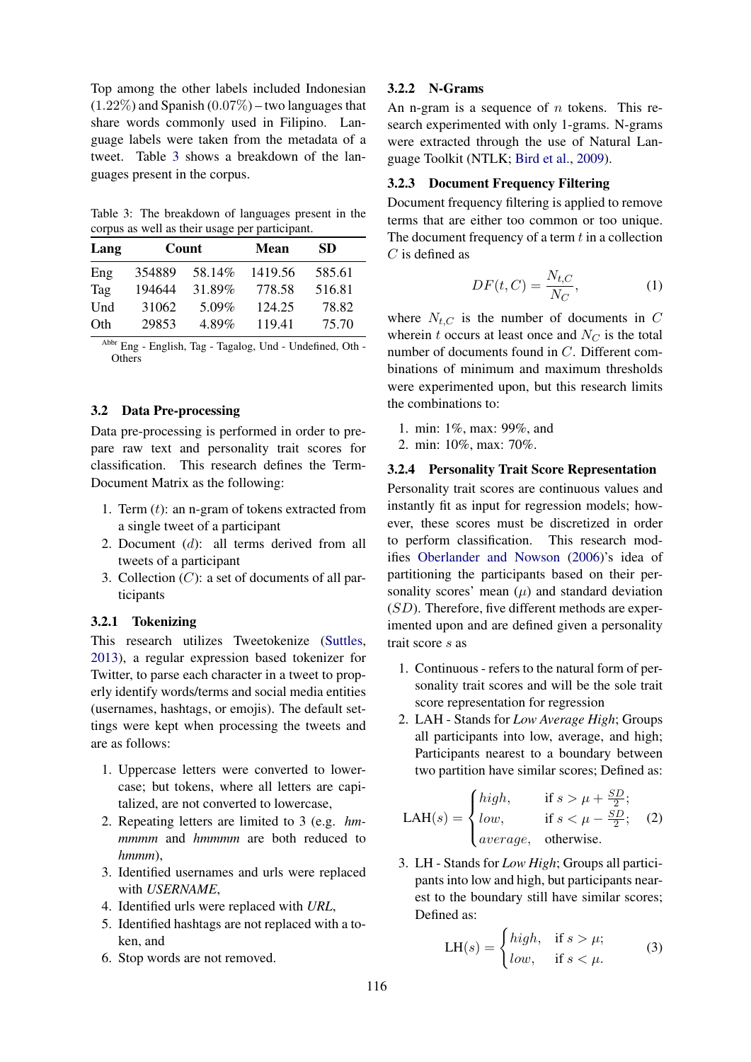Top among the other labels included Indonesian  $(1.22\%)$  and Spanish  $(0.07\%)$  – two languages that share words commonly used in Filipino. Language labels were taken from the metadata of a tweet. Table 3 shows a breakdown of the languages present in the corpus.

Table 3: The breakdown of languages present in the corpus as well as their usage per participant.

| Lang | Count  |        | Mean    |        |  | SD. |  |
|------|--------|--------|---------|--------|--|-----|--|
| Eng  | 354889 | 58.14% | 1419.56 | 585.61 |  |     |  |
| Tag  | 194644 | 31.89% | 778.58  | 516.81 |  |     |  |
| Und  | 31062  | 5.09%  | 124.25  | 78.82  |  |     |  |
| Oth  | 29853  | 4.89%  | 119.41  | 75.70  |  |     |  |

Abbr Eng - English, Tag - Tagalog, Und - Undefined, Oth - **Others** 

## 3.2 Data Pre-processing

Data pre-processing is performed in order to prepare raw text and personality trait scores for classification. This research defines the Term-Document Matrix as the following:

- 1. Term  $(t)$ : an n-gram of tokens extracted from a single tweet of a participant
- 2. Document (d): all terms derived from all tweets of a participant
- 3. Collection  $(C)$ : a set of documents of all participants

### 3.2.1 Tokenizing

This research utilizes Tweetokenize (Suttles, 2013), a regular expression based tokenizer for Twitter, to parse each character in a tweet to properly identify words/terms and social media entities (usernames, hashtags, or emojis). The default settings were kept when processing the tweets and are as follows:

- 1. Uppercase letters were converted to lowercase; but tokens, where all letters are capitalized, are not converted to lowercase,
- 2. Repeating letters are limited to 3 (e.g. *hmmmmm* and *hmmmm* are both reduced to *hmmm*),
- 3. Identified usernames and urls were replaced with *USERNAME*,
- 4. Identified urls were replaced with *URL*,
- 5. Identified hashtags are not replaced with a token, and
- 6. Stop words are not removed.

## 3.2.2 N-Grams

An n-gram is a sequence of  $n$  tokens. This research experimented with only 1-grams. N-grams were extracted through the use of Natural Language Toolkit (NTLK; Bird et al., 2009).

## 3.2.3 Document Frequency Filtering

Document frequency filtering is applied to remove terms that are either too common or too unique. The document frequency of a term  $t$  in a collection  $C$  is defined as

$$
DF(t, C) = \frac{N_{t, C}}{N_C},\tag{1}
$$

where  $N_{t,C}$  is the number of documents in C wherein t occurs at least once and  $N_C$  is the total number of documents found in C. Different combinations of minimum and maximum thresholds were experimented upon, but this research limits the combinations to:

- 1. min: 1%, max: 99%, and
- 2. min: 10%, max: 70%.

#### 3.2.4 Personality Trait Score Representation

Personality trait scores are continuous values and instantly fit as input for regression models; however, these scores must be discretized in order to perform classification. This research modifies Oberlander and Nowson (2006)'s idea of partitioning the participants based on their personality scores' mean  $(\mu)$  and standard deviation  $(SD)$ . Therefore, five different methods are experimented upon and are defined given a personality trait score s as

- 1. Continuous refers to the natural form of personality trait scores and will be the sole trait score representation for regression
- 2. LAH Stands for *Low Average High*; Groups all participants into low, average, and high; Participants nearest to a boundary between two partition have similar scores; Defined as:

$$
LAH(s) = \begin{cases} high, & \text{if } s > \mu + \frac{SD}{2}; \\ low, & \text{if } s < \mu - \frac{SD}{2}; \\ average, & \text{otherwise}. \end{cases}
$$
 (2)

3. LH - Stands for *Low High*; Groups all participants into low and high, but participants nearest to the boundary still have similar scores; Defined as:

$$
LH(s) = \begin{cases} high, & \text{if } s > \mu; \\ low, & \text{if } s < \mu. \end{cases}
$$
 (3)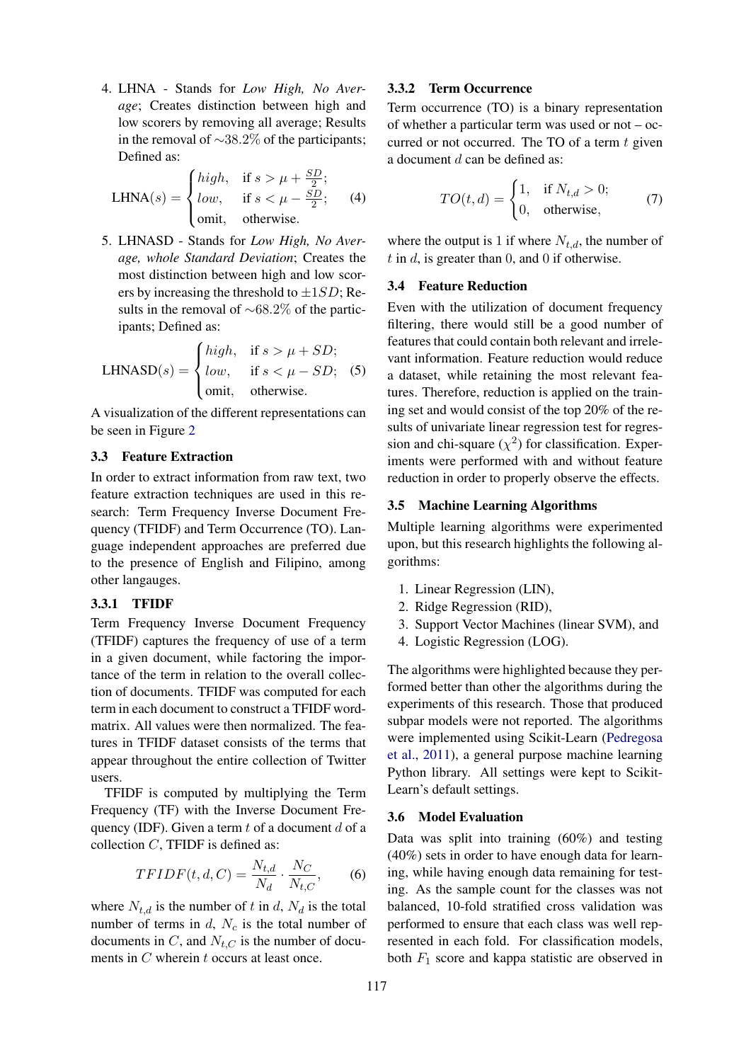4. LHNA - Stands for *Low High, No Average*; Creates distinction between high and low scorers by removing all average; Results in the removal of ∼38.2% of the participants; Defined as:

$$
\text{LHNA}(s) = \begin{cases} high, & \text{if } s > \mu + \frac{SD}{2}; \\ low, & \text{if } s < \mu - \frac{SD}{2}; \\ \text{omit}, & \text{otherwise}. \end{cases} \tag{4}
$$

5. LHNASD - Stands for *Low High, No Average, whole Standard Deviation*; Creates the most distinction between high and low scorers by increasing the threshold to  $\pm 1SD$ ; Results in the removal of ∼68.2% of the participants; Defined as:

$$
LHNASD(s) = \begin{cases} high, & \text{if } s > \mu + SD; \\ low, & \text{if } s < \mu - SD; \\ \text{omit,} & \text{otherwise.} \end{cases}
$$
 (5)

A visualization of the different representations can be seen in Figure 2

### 3.3 Feature Extraction

In order to extract information from raw text, two feature extraction techniques are used in this research: Term Frequency Inverse Document Frequency (TFIDF) and Term Occurrence (TO). Language independent approaches are preferred due to the presence of English and Filipino, among other langauges.

### 3.3.1 TFIDF

Term Frequency Inverse Document Frequency (TFIDF) captures the frequency of use of a term in a given document, while factoring the importance of the term in relation to the overall collection of documents. TFIDF was computed for each term in each document to construct a TFIDF wordmatrix. All values were then normalized. The features in TFIDF dataset consists of the terms that appear throughout the entire collection of Twitter users.

TFIDF is computed by multiplying the Term Frequency (TF) with the Inverse Document Frequency (IDF). Given a term  $t$  of a document  $d$  of a collection  $C$ , TFIDF is defined as:

$$
TFIDF(t, d, C) = \frac{N_{t,d}}{N_d} \cdot \frac{N_C}{N_{t,C}},\qquad(6)
$$

where  $N_{t,d}$  is the number of t in d,  $N_d$  is the total number of terms in  $d$ ,  $N_c$  is the total number of documents in C, and  $N_{t,C}$  is the number of documents in C wherein t occurs at least once.

## 3.3.2 Term Occurrence

Term occurrence (TO) is a binary representation of whether a particular term was used or not – occurred or not occurred. The TO of a term  $t$  given a document  $d$  can be defined as:

$$
TO(t,d) = \begin{cases} 1, & \text{if } N_{t,d} > 0; \\ 0, & \text{otherwise,} \end{cases}
$$
 (7)

where the output is 1 if where  $N_{t,d}$ , the number of t in d, is greater than 0, and 0 if otherwise.

## 3.4 Feature Reduction

Even with the utilization of document frequency filtering, there would still be a good number of features that could contain both relevant and irrelevant information. Feature reduction would reduce a dataset, while retaining the most relevant features. Therefore, reduction is applied on the training set and would consist of the top 20% of the results of univariate linear regression test for regression and chi-square  $(\chi^2)$  for classification. Experiments were performed with and without feature reduction in order to properly observe the effects.

## 3.5 Machine Learning Algorithms

Multiple learning algorithms were experimented upon, but this research highlights the following algorithms:

- 1. Linear Regression (LIN),
- 2. Ridge Regression (RID),
- 3. Support Vector Machines (linear SVM), and
- 4. Logistic Regression (LOG).

The algorithms were highlighted because they performed better than other the algorithms during the experiments of this research. Those that produced subpar models were not reported. The algorithms were implemented using Scikit-Learn (Pedregosa et al., 2011), a general purpose machine learning Python library. All settings were kept to Scikit-Learn's default settings.

### 3.6 Model Evaluation

Data was split into training (60%) and testing (40%) sets in order to have enough data for learning, while having enough data remaining for testing. As the sample count for the classes was not balanced, 10-fold stratified cross validation was performed to ensure that each class was well represented in each fold. For classification models, both  $F_1$  score and kappa statistic are observed in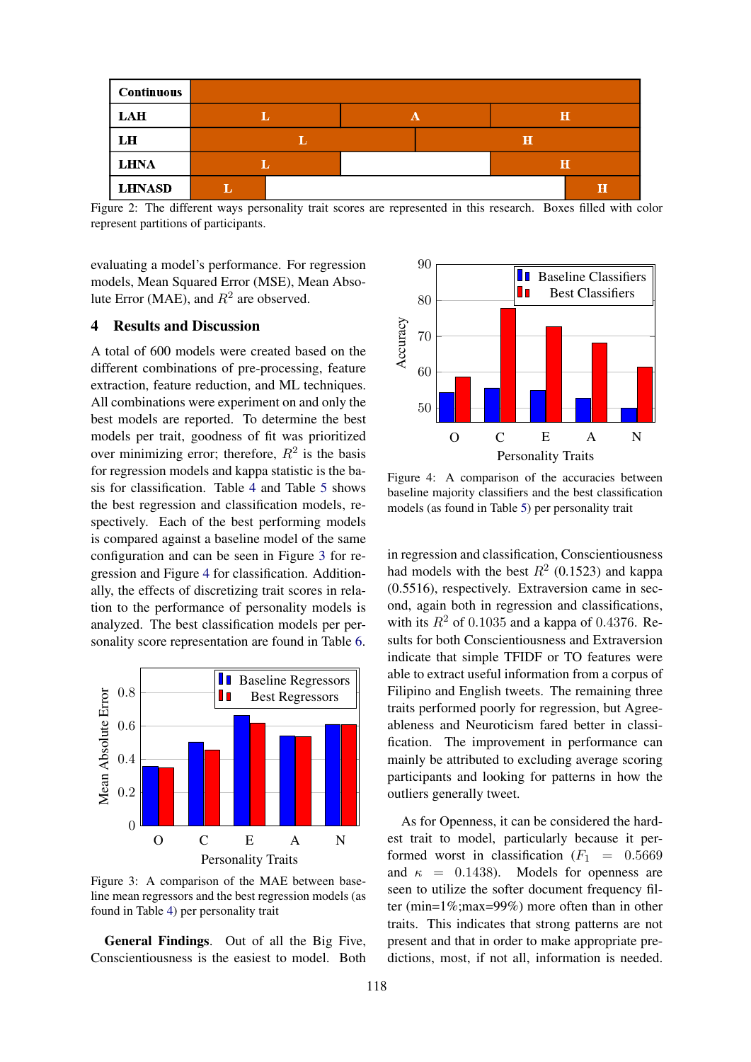

Figure 2: The different ways personality trait scores are represented in this research. Boxes filled with color represent partitions of participants.

evaluating a model's performance. For regression models, Mean Squared Error (MSE), Mean Absolute Error (MAE), and  $R^2$  are observed.

## 4 Results and Discussion

A total of 600 models were created based on the different combinations of pre-processing, feature extraction, feature reduction, and ML techniques. All combinations were experiment on and only the best models are reported. To determine the best models per trait, goodness of fit was prioritized over minimizing error; therefore,  $R^2$  is the basis for regression models and kappa statistic is the basis for classification. Table 4 and Table 5 shows the best regression and classification models, respectively. Each of the best performing models is compared against a baseline model of the same configuration and can be seen in Figure 3 for regression and Figure 4 for classification. Additionally, the effects of discretizing trait scores in relation to the performance of personality models is analyzed. The best classification models per personality score representation are found in Table 6.



Figure 3: A comparison of the MAE between baseline mean regressors and the best regression models (as found in Table 4) per personality trait

General Findings. Out of all the Big Five, Conscientiousness is the easiest to model. Both



Figure 4: A comparison of the accuracies between baseline majority classifiers and the best classification models (as found in Table 5) per personality trait

in regression and classification, Conscientiousness had models with the best  $R^2$  (0.1523) and kappa (0.5516), respectively. Extraversion came in second, again both in regression and classifications, with its  $R^2$  of 0.1035 and a kappa of 0.4376. Results for both Conscientiousness and Extraversion indicate that simple TFIDF or TO features were able to extract useful information from a corpus of Filipino and English tweets. The remaining three traits performed poorly for regression, but Agreeableness and Neuroticism fared better in classification. The improvement in performance can mainly be attributed to excluding average scoring participants and looking for patterns in how the outliers generally tweet.

As for Openness, it can be considered the hardest trait to model, particularly because it performed worst in classification  $(F_1 = 0.5669)$ and  $\kappa = 0.1438$ . Models for openness are seen to utilize the softer document frequency filter (min=1%;max=99%) more often than in other traits. This indicates that strong patterns are not present and that in order to make appropriate predictions, most, if not all, information is needed.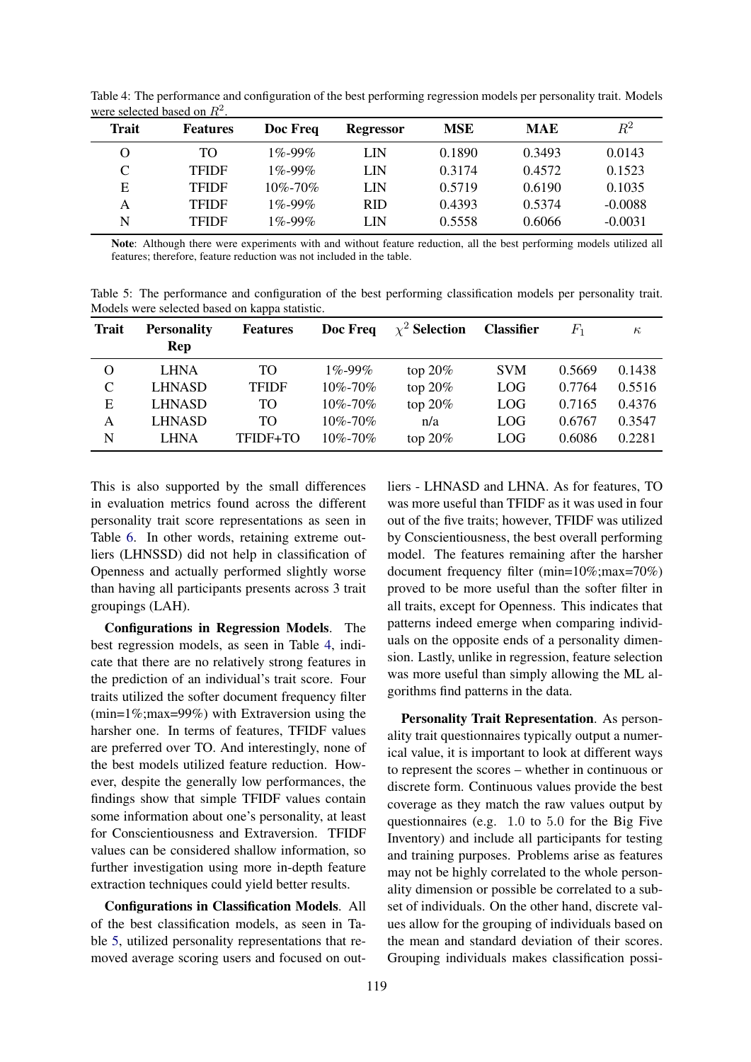| Trait | <b>Features</b> | Doc Freq      | <b>Regressor</b> | <b>MSE</b> | <b>MAE</b> | $\,R^2$   |
|-------|-----------------|---------------|------------------|------------|------------|-----------|
| O     | TO              | $1\% - 99\%$  | LIN              | 0.1890     | 0.3493     | 0.0143    |
| C     | <b>TFIDF</b>    | $1\% - 99\%$  | LIN              | 0.3174     | 0.4572     | 0.1523    |
| Е     | <b>TFIDF</b>    | $10\% - 70\%$ | LIN              | 0.5719     | 0.6190     | 0.1035    |
| А     | <b>TFIDF</b>    | $1\% - 99\%$  | <b>RID</b>       | 0.4393     | 0.5374     | $-0.0088$ |
| N     | <b>TFIDF</b>    | $1\% - 99\%$  | LIN              | 0.5558     | 0.6066     | $-0.0031$ |

Table 4: The performance and configuration of the best performing regression models per personality trait. Models were selected based on  $R^2$ .

Note: Although there were experiments with and without feature reduction, all the best performing models utilized all features; therefore, feature reduction was not included in the table.

Table 5: The performance and configuration of the best performing classification models per personality trait. Models were selected based on kappa statistic.

| <b>Trait</b> | <b>Personality</b><br>Rep | <b>Features</b> | Doc Freq      | $\chi^2$ Selection | <b>Classifier</b> | $F_{\rm 1}$ | $\kappa$ |
|--------------|---------------------------|-----------------|---------------|--------------------|-------------------|-------------|----------|
| O            | <b>LHNA</b>               | TO              | $1\% - 99\%$  | top $20\%$         | <b>SVM</b>        | 0.5669      | 0.1438   |
| $\mathsf{C}$ | <b>LHNASD</b>             | <b>TFIDF</b>    | $10\% - 70\%$ | top $20\%$         | <b>LOG</b>        | 0.7764      | 0.5516   |
| E            | <b>LHNASD</b>             | TO              | $10\% - 70\%$ | top $20\%$         | <b>LOG</b>        | 0.7165      | 0.4376   |
| Α            | <b>LHNASD</b>             | TO              | $10\% - 70\%$ | n/a                | LOG.              | 0.6767      | 0.3547   |
| N            | <b>LHNA</b>               | TFIDF+TO        | $10\% - 70\%$ | top $20\%$         | <b>LOG</b>        | 0.6086      | 0.2281   |

This is also supported by the small differences in evaluation metrics found across the different personality trait score representations as seen in Table 6. In other words, retaining extreme outliers (LHNSSD) did not help in classification of Openness and actually performed slightly worse than having all participants presents across 3 trait groupings (LAH).

Configurations in Regression Models. The best regression models, as seen in Table 4, indicate that there are no relatively strong features in the prediction of an individual's trait score. Four traits utilized the softer document frequency filter  $(min=1\%;max=99\%)$  with Extraversion using the harsher one. In terms of features, TFIDF values are preferred over TO. And interestingly, none of the best models utilized feature reduction. However, despite the generally low performances, the findings show that simple TFIDF values contain some information about one's personality, at least for Conscientiousness and Extraversion. TFIDF values can be considered shallow information, so further investigation using more in-depth feature extraction techniques could yield better results.

Configurations in Classification Models. All of the best classification models, as seen in Table 5, utilized personality representations that removed average scoring users and focused on out-

liers - LHNASD and LHNA. As for features, TO was more useful than TFIDF as it was used in four out of the five traits; however, TFIDF was utilized by Conscientiousness, the best overall performing model. The features remaining after the harsher document frequency filter (min=10%;max=70%) proved to be more useful than the softer filter in all traits, except for Openness. This indicates that patterns indeed emerge when comparing individuals on the opposite ends of a personality dimension. Lastly, unlike in regression, feature selection was more useful than simply allowing the ML algorithms find patterns in the data.

Personality Trait Representation. As personality trait questionnaires typically output a numerical value, it is important to look at different ways to represent the scores – whether in continuous or discrete form. Continuous values provide the best coverage as they match the raw values output by questionnaires (e.g. 1.0 to 5.0 for the Big Five Inventory) and include all participants for testing and training purposes. Problems arise as features may not be highly correlated to the whole personality dimension or possible be correlated to a subset of individuals. On the other hand, discrete values allow for the grouping of individuals based on the mean and standard deviation of their scores. Grouping individuals makes classification possi-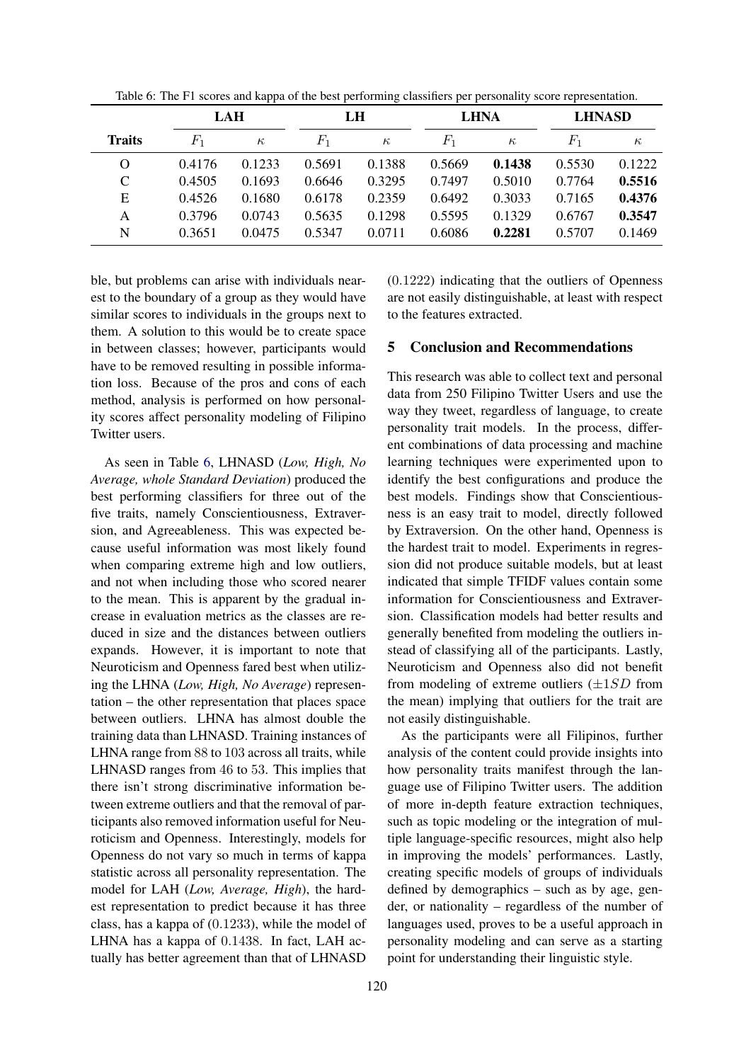|               | LAH            |          | LH      |          | <b>LHNA</b>    |          | <b>LHNASD</b> |          |
|---------------|----------------|----------|---------|----------|----------------|----------|---------------|----------|
| <b>Traits</b> | $\mathit{F}_1$ | $\kappa$ | $F_{1}$ | $\kappa$ | $\mathbb{F}_1$ | $\kappa$ | $F_1$         | $\kappa$ |
| O             | 0.4176         | 0.1233   | 0.5691  | 0.1388   | 0.5669         | 0.1438   | 0.5530        | 0.1222   |
| $\mathsf{C}$  | 0.4505         | 0.1693   | 0.6646  | 0.3295   | 0.7497         | 0.5010   | 0.7764        | 0.5516   |
| E             | 0.4526         | 0.1680   | 0.6178  | 0.2359   | 0.6492         | 0.3033   | 0.7165        | 0.4376   |
| А             | 0.3796         | 0.0743   | 0.5635  | 0.1298   | 0.5595         | 0.1329   | 0.6767        | 0.3547   |
| N             | 0.3651         | 0.0475   | 0.5347  | 0.0711   | 0.6086         | 0.2281   | 0.5707        | 0.1469   |

Table 6: The F1 scores and kappa of the best performing classifiers per personality score representation.

ble, but problems can arise with individuals nearest to the boundary of a group as they would have similar scores to individuals in the groups next to them. A solution to this would be to create space in between classes; however, participants would have to be removed resulting in possible information loss. Because of the pros and cons of each method, analysis is performed on how personality scores affect personality modeling of Filipino Twitter users.

As seen in Table 6, LHNASD (*Low, High, No Average, whole Standard Deviation*) produced the best performing classifiers for three out of the five traits, namely Conscientiousness, Extraversion, and Agreeableness. This was expected because useful information was most likely found when comparing extreme high and low outliers, and not when including those who scored nearer to the mean. This is apparent by the gradual increase in evaluation metrics as the classes are reduced in size and the distances between outliers expands. However, it is important to note that Neuroticism and Openness fared best when utilizing the LHNA (*Low, High, No Average*) representation – the other representation that places space between outliers. LHNA has almost double the training data than LHNASD. Training instances of LHNA range from 88 to 103 across all traits, while LHNASD ranges from 46 to 53. This implies that there isn't strong discriminative information between extreme outliers and that the removal of participants also removed information useful for Neuroticism and Openness. Interestingly, models for Openness do not vary so much in terms of kappa statistic across all personality representation. The model for LAH (*Low, Average, High*), the hardest representation to predict because it has three class, has a kappa of (0.1233), while the model of LHNA has a kappa of 0.1438. In fact, LAH actually has better agreement than that of LHNASD (0.1222) indicating that the outliers of Openness are not easily distinguishable, at least with respect to the features extracted.

#### 5 Conclusion and Recommendations

This research was able to collect text and personal data from 250 Filipino Twitter Users and use the way they tweet, regardless of language, to create personality trait models. In the process, different combinations of data processing and machine learning techniques were experimented upon to identify the best configurations and produce the best models. Findings show that Conscientiousness is an easy trait to model, directly followed by Extraversion. On the other hand, Openness is the hardest trait to model. Experiments in regression did not produce suitable models, but at least indicated that simple TFIDF values contain some information for Conscientiousness and Extraversion. Classification models had better results and generally benefited from modeling the outliers instead of classifying all of the participants. Lastly, Neuroticism and Openness also did not benefit from modeling of extreme outliers  $(\pm 1SD)$  from the mean) implying that outliers for the trait are not easily distinguishable.

As the participants were all Filipinos, further analysis of the content could provide insights into how personality traits manifest through the language use of Filipino Twitter users. The addition of more in-depth feature extraction techniques, such as topic modeling or the integration of multiple language-specific resources, might also help in improving the models' performances. Lastly, creating specific models of groups of individuals defined by demographics – such as by age, gender, or nationality – regardless of the number of languages used, proves to be a useful approach in personality modeling and can serve as a starting point for understanding their linguistic style.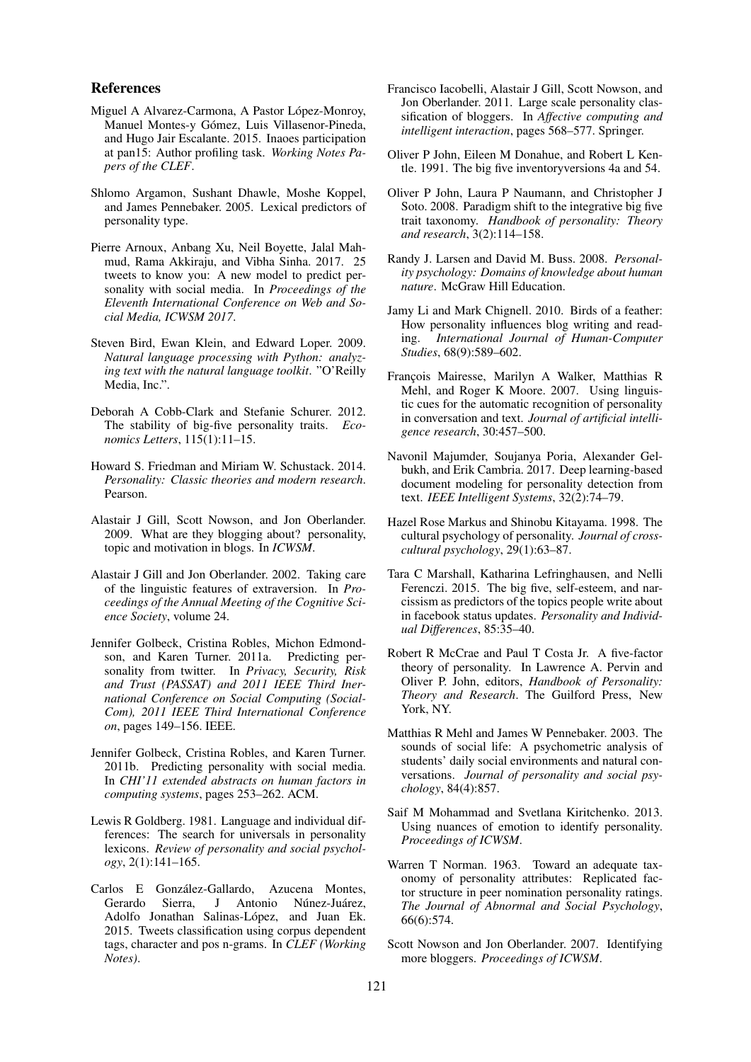#### References

- Miguel A Alvarez-Carmona, A Pastor López-Monroy, Manuel Montes-y Gómez, Luis Villasenor-Pineda, and Hugo Jair Escalante. 2015. Inaoes participation at pan15: Author profiling task. *Working Notes Papers of the CLEF*.
- Shlomo Argamon, Sushant Dhawle, Moshe Koppel, and James Pennebaker. 2005. Lexical predictors of personality type.
- Pierre Arnoux, Anbang Xu, Neil Boyette, Jalal Mahmud, Rama Akkiraju, and Vibha Sinha. 2017. 25 tweets to know you: A new model to predict personality with social media. In *Proceedings of the Eleventh International Conference on Web and Social Media, ICWSM 2017*.
- Steven Bird, Ewan Klein, and Edward Loper. 2009. *Natural language processing with Python: analyzing text with the natural language toolkit*. "O'Reilly Media, Inc.".
- Deborah A Cobb-Clark and Stefanie Schurer. 2012. The stability of big-five personality traits. *Economics Letters*, 115(1):11–15.
- Howard S. Friedman and Miriam W. Schustack. 2014. *Personality: Classic theories and modern research*. Pearson.
- Alastair J Gill, Scott Nowson, and Jon Oberlander. 2009. What are they blogging about? personality, topic and motivation in blogs. In *ICWSM*.
- Alastair J Gill and Jon Oberlander. 2002. Taking care of the linguistic features of extraversion. In *Proceedings of the Annual Meeting of the Cognitive Science Society*, volume 24.
- Jennifer Golbeck, Cristina Robles, Michon Edmondson, and Karen Turner. 2011a. Predicting personality from twitter. In *Privacy, Security, Risk and Trust (PASSAT) and 2011 IEEE Third Inernational Conference on Social Computing (Social-Com), 2011 IEEE Third International Conference on*, pages 149–156. IEEE.
- Jennifer Golbeck, Cristina Robles, and Karen Turner. 2011b. Predicting personality with social media. In *CHI'11 extended abstracts on human factors in computing systems*, pages 253–262. ACM.
- Lewis R Goldberg. 1981. Language and individual differences: The search for universals in personality lexicons. *Review of personality and social psychology*, 2(1):141–165.
- Carlos E Gonzalez-Gallardo, Azucena Montes, ´ Gerardo Sierra, J Antonio Núnez-Juárez, Adolfo Jonathan Salinas-López, and Juan Ek. 2015. Tweets classification using corpus dependent tags, character and pos n-grams. In *CLEF (Working Notes)*.
- Francisco Iacobelli, Alastair J Gill, Scott Nowson, and Jon Oberlander. 2011. Large scale personality classification of bloggers. In *Affective computing and intelligent interaction*, pages 568–577. Springer.
- Oliver P John, Eileen M Donahue, and Robert L Kentle. 1991. The big five inventoryversions 4a and 54.
- Oliver P John, Laura P Naumann, and Christopher J Soto. 2008. Paradigm shift to the integrative big five trait taxonomy. *Handbook of personality: Theory and research*, 3(2):114–158.
- Randy J. Larsen and David M. Buss. 2008. *Personality psychology: Domains of knowledge about human nature*. McGraw Hill Education.
- Jamy Li and Mark Chignell. 2010. Birds of a feather: How personality influences blog writing and reading. *International Journal of Human-Computer Studies*, 68(9):589–602.
- François Mairesse, Marilyn A Walker, Matthias R Mehl, and Roger K Moore. 2007. Using linguistic cues for the automatic recognition of personality in conversation and text. *Journal of artificial intelligence research*, 30:457–500.
- Navonil Majumder, Soujanya Poria, Alexander Gelbukh, and Erik Cambria. 2017. Deep learning-based document modeling for personality detection from text. *IEEE Intelligent Systems*, 32(2):74–79.
- Hazel Rose Markus and Shinobu Kitayama. 1998. The cultural psychology of personality. *Journal of crosscultural psychology*, 29(1):63–87.
- Tara C Marshall, Katharina Lefringhausen, and Nelli Ferenczi. 2015. The big five, self-esteem, and narcissism as predictors of the topics people write about in facebook status updates. *Personality and Individual Differences*, 85:35–40.
- Robert R McCrae and Paul T Costa Jr. A five-factor theory of personality. In Lawrence A. Pervin and Oliver P. John, editors, *Handbook of Personality: Theory and Research*. The Guilford Press, New York, NY.
- Matthias R Mehl and James W Pennebaker. 2003. The sounds of social life: A psychometric analysis of students' daily social environments and natural conversations. *Journal of personality and social psychology*, 84(4):857.
- Saif M Mohammad and Svetlana Kiritchenko. 2013. Using nuances of emotion to identify personality. *Proceedings of ICWSM*.
- Warren T Norman. 1963. Toward an adequate taxonomy of personality attributes: Replicated factor structure in peer nomination personality ratings. *The Journal of Abnormal and Social Psychology*, 66(6):574.
- Scott Nowson and Jon Oberlander. 2007. Identifying more bloggers. *Proceedings of ICWSM*.